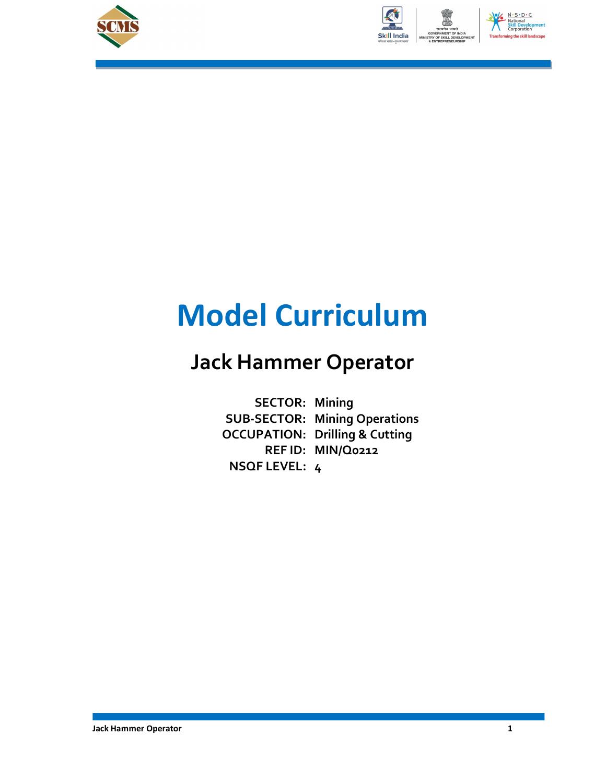





## Model Curriculum

## Jack Hammer Operator

SECTOR: Mining<br>SUB-SECTOR: Mining Operations<br>OCCUPATION: Drilling & Cutting SUB-SECTOR: Mining Operations REF ID: MIN/Q0212 NSQF LEVEL: 4 SECTOR: Mining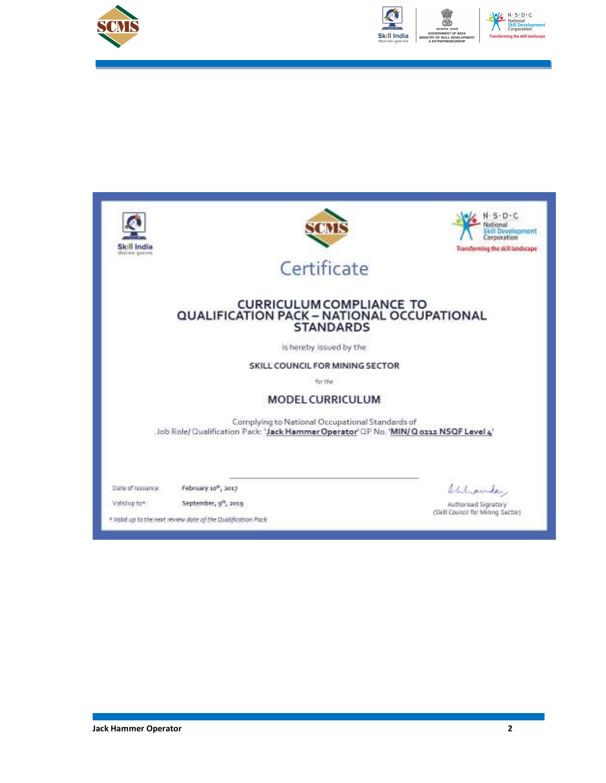



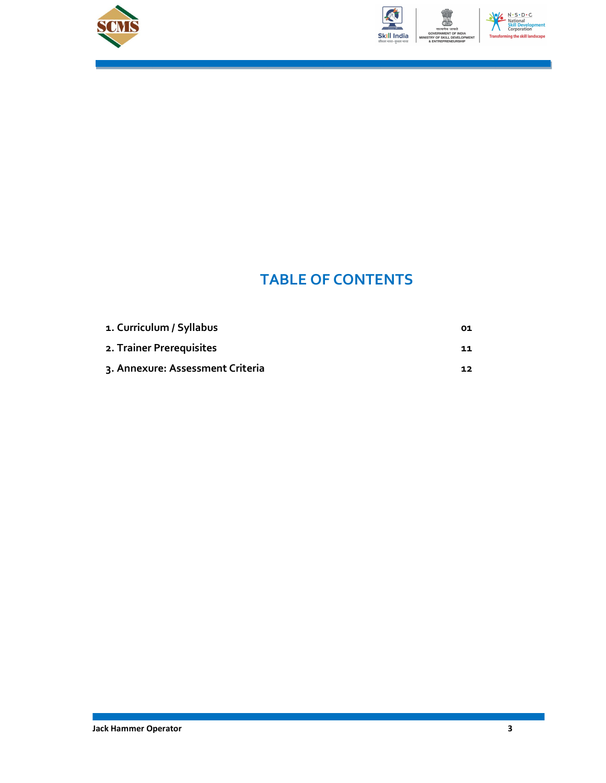



### N - S - D - C<br>National<br>Skill Develop<br>Corporation ing the skill lan

## TABLE OF CONTENTS

| 1. Curriculum / Syllabus         | 01 |
|----------------------------------|----|
| 2. Trainer Prerequisites         | 11 |
| 3. Annexure: Assessment Criteria | 12 |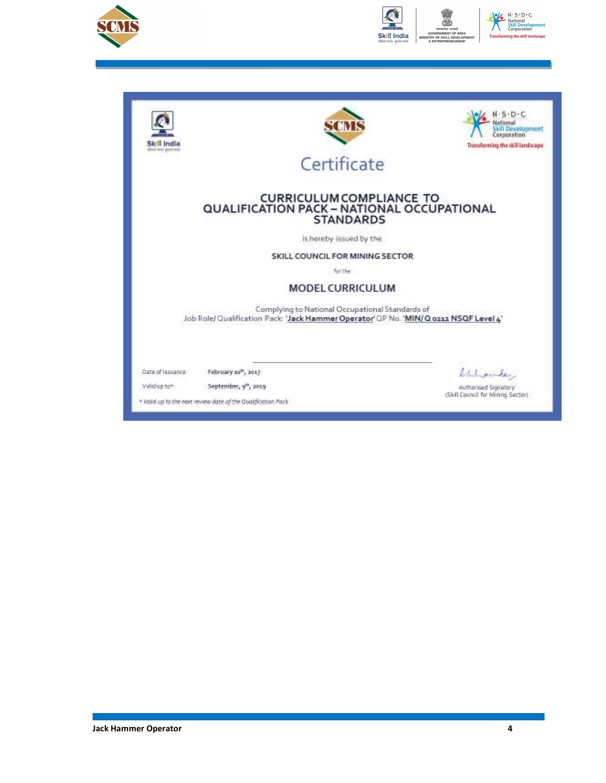



| skait sina sinat vite | SOVR                                                                                                                                      | $5 - 10 + C$<br>ational<br>Skill Development<br>Corporation<br>Transforming the skill landscape |
|-----------------------|-------------------------------------------------------------------------------------------------------------------------------------------|-------------------------------------------------------------------------------------------------|
|                       | Certificate                                                                                                                               |                                                                                                 |
|                       | <b>CURRICULUM COMPLIANCE TO</b><br>QUALIFICATION PACK - NATIONAL OCCUPATIONAL<br><b>STANDARDS</b>                                         |                                                                                                 |
|                       | is hereby issued by the                                                                                                                   |                                                                                                 |
|                       | SKILL COUNCIL FOR MINING SECTOR                                                                                                           |                                                                                                 |
|                       | for the                                                                                                                                   |                                                                                                 |
|                       | <b>MODEL CURRICULUM</b>                                                                                                                   |                                                                                                 |
|                       | Complying to National Occupational Standards of<br>Job Role/ Qualification Pack: 'Jack Hammer Operator' QP No. 'MIN/ Q 0212 NSQF Level 4' |                                                                                                 |
| Date of Issuance:     | February 10 <sup>m</sup> , 1017                                                                                                           | Chiliamder,                                                                                     |
| Validup to *          | September, 9 <sup>th</sup> , 2019                                                                                                         | Authorised Signatory<br>(Skill Council for Mining Sector)                                       |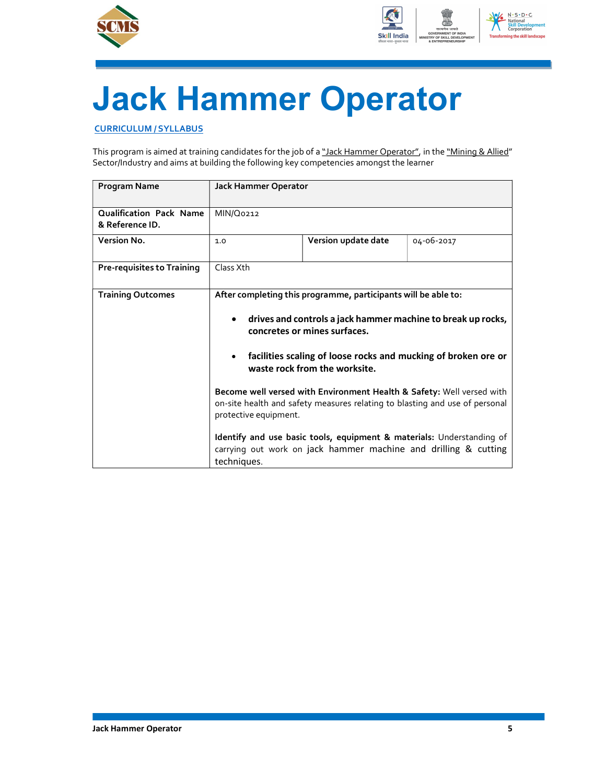



# Jack Hammer Operator

CURRICULUM / SYLLABUS

This program is aimed at training candidates for the job of a "Jack Hammer Operator", in the "Mining & Allied" Sector/Industry and aims at building the following key competencies amongst the learner

| <b>Program Name</b>                               | <b>Jack Hammer Operator</b> |                                                                                                                                 |                                                                                                                                                      |
|---------------------------------------------------|-----------------------------|---------------------------------------------------------------------------------------------------------------------------------|------------------------------------------------------------------------------------------------------------------------------------------------------|
| <b>Qualification Pack Name</b><br>& Reference ID. | MIN/Q0212                   |                                                                                                                                 |                                                                                                                                                      |
| Version No.                                       | 1.0                         | Version update date                                                                                                             | 04-06-2017                                                                                                                                           |
| <b>Pre-requisites to Training</b>                 | Class Xth                   |                                                                                                                                 |                                                                                                                                                      |
| <b>Training Outcomes</b>                          |                             | After completing this programme, participants will be able to:<br>concretes or mines surfaces.<br>waste rock from the worksite. | drives and controls a jack hammer machine to break up rocks,<br>facilities scaling of loose rocks and mucking of broken ore or                       |
|                                                   | protective equipment.       |                                                                                                                                 | Become well versed with Environment Health & Safety: Well versed with<br>on-site health and safety measures relating to blasting and use of personal |
|                                                   | techniques.                 |                                                                                                                                 | Identify and use basic tools, equipment & materials: Understanding of<br>carrying out work on jack hammer machine and drilling & cutting             |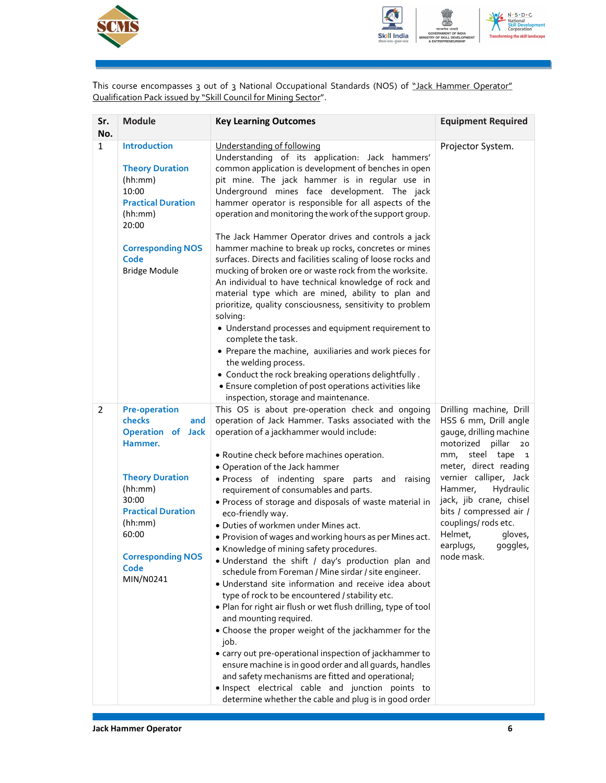



This course encompasses 3 out of 3 National Occupational Standards (NOS) of <u>"Jack Hammer Operator"</u> Qualification Pack issued by "Skill Council for Mining Sector".

| Sr.<br>No.     | <b>Module</b>                                                                                                                                                                                                                | <b>Key Learning Outcomes</b>                                                                                                                                                                                                                                                                                                                                                                                                                                                                                                                                                                                                                                                                                                                                                                                                                                                                                                                                                                                                                                                                                                                                                                                                                 | <b>Equipment Required</b>                                                                                                                                                                                                                                                                                                                    |
|----------------|------------------------------------------------------------------------------------------------------------------------------------------------------------------------------------------------------------------------------|----------------------------------------------------------------------------------------------------------------------------------------------------------------------------------------------------------------------------------------------------------------------------------------------------------------------------------------------------------------------------------------------------------------------------------------------------------------------------------------------------------------------------------------------------------------------------------------------------------------------------------------------------------------------------------------------------------------------------------------------------------------------------------------------------------------------------------------------------------------------------------------------------------------------------------------------------------------------------------------------------------------------------------------------------------------------------------------------------------------------------------------------------------------------------------------------------------------------------------------------|----------------------------------------------------------------------------------------------------------------------------------------------------------------------------------------------------------------------------------------------------------------------------------------------------------------------------------------------|
| $\mathbf{1}$   | <b>Introduction</b><br><b>Theory Duration</b><br>(hh:mm)<br>10:00<br><b>Practical Duration</b><br>(hh:mm)<br>20:00<br><b>Corresponding NOS</b><br>Code<br><b>Bridge Module</b>                                               | Understanding of following<br>Understanding of its application: Jack hammers'<br>common application is development of benches in open<br>pit mine. The jack hammer is in regular use in<br>Underground mines face development. The jack<br>hammer operator is responsible for all aspects of the<br>operation and monitoring the work of the support group.<br>The Jack Hammer Operator drives and controls a jack<br>hammer machine to break up rocks, concretes or mines<br>surfaces. Directs and facilities scaling of loose rocks and<br>mucking of broken ore or waste rock from the worksite.<br>An individual to have technical knowledge of rock and<br>material type which are mined, ability to plan and<br>prioritize, quality consciousness, sensitivity to problem<br>solving:<br>• Understand processes and equipment requirement to<br>complete the task.<br>• Prepare the machine, auxiliaries and work pieces for<br>the welding process.<br>• Conduct the rock breaking operations delightfully.<br>• Ensure completion of post operations activities like<br>inspection, storage and maintenance.                                                                                                                         | Projector System.                                                                                                                                                                                                                                                                                                                            |
| $\overline{2}$ | <b>Pre-operation</b><br>checks<br>and<br><b>Operation of Jack</b><br>Hammer.<br><b>Theory Duration</b><br>(hh:mm)<br>30:00<br><b>Practical Duration</b><br>(hh:mm)<br>60:00<br><b>Corresponding NOS</b><br>Code<br>MIN/N0241 | This OS is about pre-operation check and ongoing<br>operation of Jack Hammer. Tasks associated with the<br>operation of a jackhammer would include:<br>• Routine check before machines operation.<br>• Operation of the Jack hammer<br>· Process of indenting spare parts and raising<br>requirement of consumables and parts.<br>· Process of storage and disposals of waste material in<br>eco-friendly way.<br>· Duties of workmen under Mines act.<br>. Provision of wages and working hours as per Mines act.<br>• Knowledge of mining safety procedures.<br>. Understand the shift / day's production plan and<br>schedule from Foreman / Mine sirdar / site engineer.<br>· Understand site information and receive idea about<br>type of rock to be encountered / stability etc.<br>. Plan for right air flush or wet flush drilling, type of tool<br>and mounting required.<br>• Choose the proper weight of the jackhammer for the<br>job.<br>• carry out pre-operational inspection of jackhammer to<br>ensure machine is in good order and all guards, handles<br>and safety mechanisms are fitted and operational;<br>· Inspect electrical cable and junction points to<br>determine whether the cable and plug is in good order | Drilling machine, Drill<br>HSS 6 mm, Drill angle<br>gauge, drilling machine<br>motorized pillar 20<br>mm, steel tape 1<br>meter, direct reading<br>vernier calliper, Jack<br>Hydraulic<br>Hammer,<br>jack, jib crane, chisel<br>bits / compressed air /<br>couplings/ rods etc.<br>Helmet,<br>gloves,<br>earplugs,<br>goggles,<br>node mask. |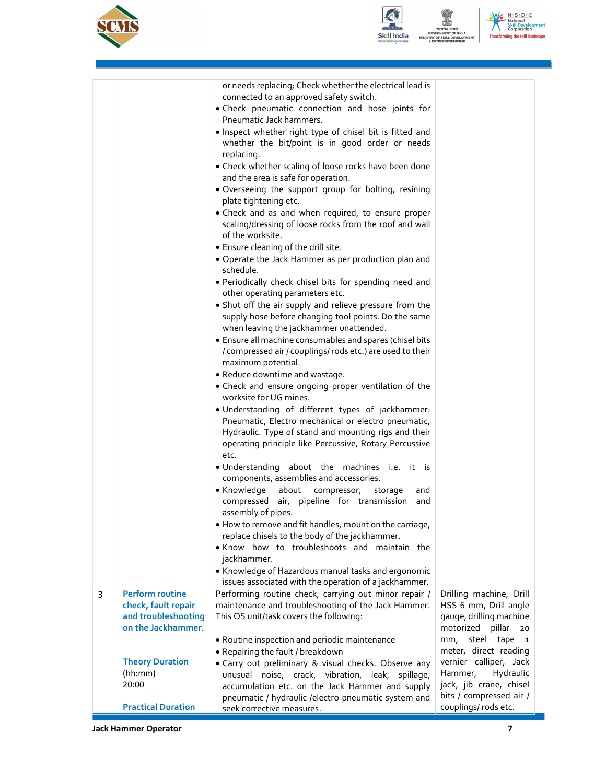



N.S.D.C<br>National<br>Skill Develop<br>Corporation ing the skill la

| Drilling machine, Drill                            |
|----------------------------------------------------|
| HSS 6 mm, Drill angle                              |
| gauge, drilling machine<br>motorized pillar<br>20  |
| mm, steel tape 1                                   |
| meter, direct reading                              |
| vernier calliper, Jack                             |
| Hydraulic<br>Hammer,                               |
| jack, jib crane, chisel<br>bits / compressed air / |
|                                                    |
|                                                    |

**Jack Hammer Operator** 7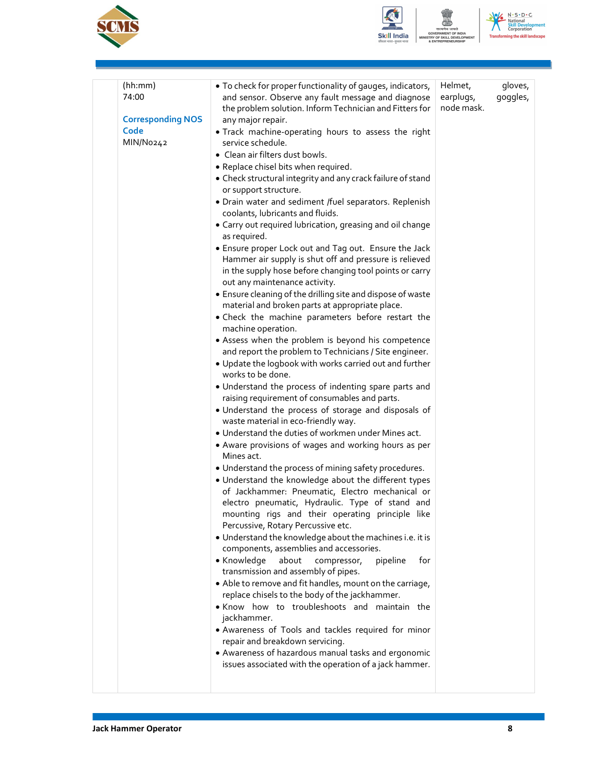



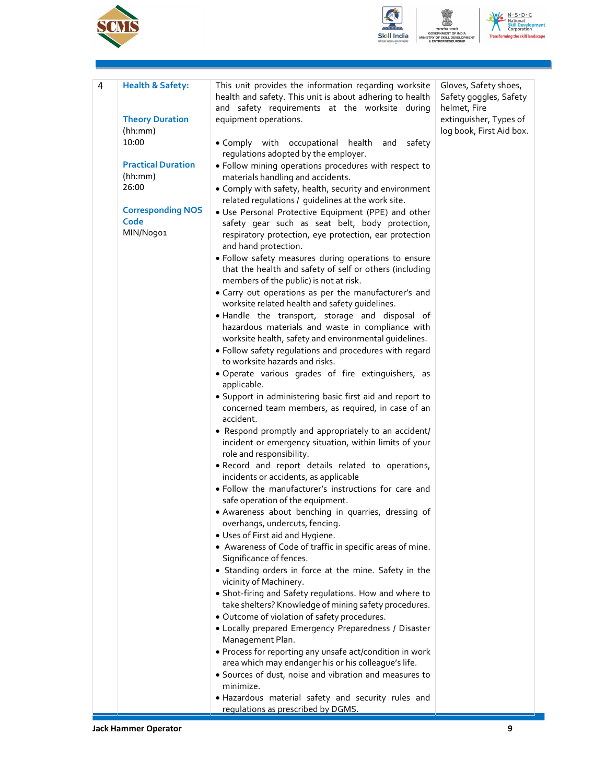





| 4 | <b>Health &amp; Safety:</b> | This unit provides the information regarding worksite                                                      | Gloves, Safety shoes,                  |
|---|-----------------------------|------------------------------------------------------------------------------------------------------------|----------------------------------------|
|   |                             | health and safety. This unit is about adhering to health<br>and safety requirements at the worksite during | Safety goggles, Safety<br>helmet, Fire |
|   | <b>Theory Duration</b>      |                                                                                                            | extinguisher, Types of                 |
|   | (hh:mm)                     | equipment operations.                                                                                      | log book, First Aid box.               |
|   | 10:00                       | • Comply with occupational health and<br>safety                                                            |                                        |
|   |                             | regulations adopted by the employer.                                                                       |                                        |
|   | <b>Practical Duration</b>   | . Follow mining operations procedures with respect to                                                      |                                        |
|   | (hh:mm)                     | materials handling and accidents.                                                                          |                                        |
|   | 26:00                       | • Comply with safety, health, security and environment                                                     |                                        |
|   |                             | related regulations / guidelines at the work site.                                                         |                                        |
|   | <b>Corresponding NOS</b>    | . Use Personal Protective Equipment (PPE) and other                                                        |                                        |
|   | Code                        | safety gear such as seat belt, body protection,                                                            |                                        |
|   | MIN/No901                   | respiratory protection, eye protection, ear protection                                                     |                                        |
|   |                             | and hand protection.                                                                                       |                                        |
|   |                             | . Follow safety measures during operations to ensure                                                       |                                        |
|   |                             | that the health and safety of self or others (including                                                    |                                        |
|   |                             | members of the public) is not at risk.                                                                     |                                        |
|   |                             | • Carry out operations as per the manufacturer's and                                                       |                                        |
|   |                             | worksite related health and safety guidelines.                                                             |                                        |
|   |                             | . Handle the transport, storage and disposal of                                                            |                                        |
|   |                             | hazardous materials and waste in compliance with                                                           |                                        |
|   |                             | worksite health, safety and environmental guidelines.                                                      |                                        |
|   |                             | . Follow safety regulations and procedures with regard<br>to worksite hazards and risks.                   |                                        |
|   |                             |                                                                                                            |                                        |
|   |                             | · Operate various grades of fire extinguishers, as<br>applicable.                                          |                                        |
|   |                             | • Support in administering basic first aid and report to                                                   |                                        |
|   |                             | concerned team members, as required, in case of an                                                         |                                        |
|   |                             | accident.                                                                                                  |                                        |
|   |                             | • Respond promptly and appropriately to an accident/                                                       |                                        |
|   |                             | incident or emergency situation, within limits of your                                                     |                                        |
|   |                             | role and responsibility.                                                                                   |                                        |
|   |                             | . Record and report details related to operations,                                                         |                                        |
|   |                             | incidents or accidents, as applicable                                                                      |                                        |
|   |                             | · Follow the manufacturer's instructions for care and                                                      |                                        |
|   |                             | safe operation of the equipment.                                                                           |                                        |
|   |                             | · Awareness about benching in quarries, dressing of                                                        |                                        |
|   |                             | overhangs, undercuts, fencing.                                                                             |                                        |
|   |                             | • Uses of First aid and Hygiene.                                                                           |                                        |
|   |                             | • Awareness of Code of traffic in specific areas of mine.                                                  |                                        |
|   |                             | Significance of fences.                                                                                    |                                        |
|   |                             | • Standing orders in force at the mine. Safety in the<br>vicinity of Machinery.                            |                                        |
|   |                             | • Shot-firing and Safety regulations. How and where to                                                     |                                        |
|   |                             | take shelters? Knowledge of mining safety procedures.                                                      |                                        |
|   |                             | · Outcome of violation of safety procedures.                                                               |                                        |
|   |                             | • Locally prepared Emergency Preparedness / Disaster                                                       |                                        |
|   |                             | Management Plan.                                                                                           |                                        |
|   |                             | • Process for reporting any unsafe act/condition in work                                                   |                                        |
|   |                             | area which may endanger his or his colleague's life.                                                       |                                        |
|   |                             | • Sources of dust, noise and vibration and measures to                                                     |                                        |
|   |                             | minimize.                                                                                                  |                                        |
|   |                             | . Hazardous material safety and security rules and                                                         |                                        |
|   |                             | regulations as prescribed by DGMS.                                                                         |                                        |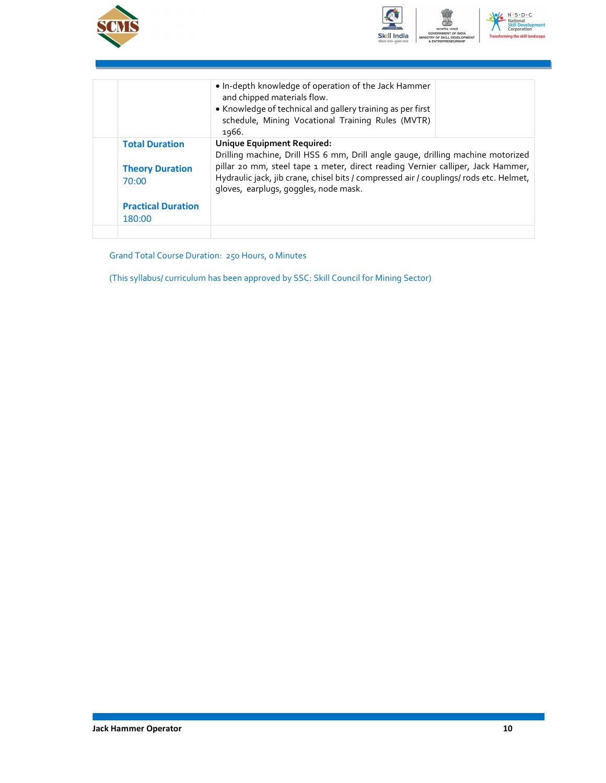



|                                                          | . In-depth knowledge of operation of the Jack Hammer<br>and chipped materials flow.<br>• Knowledge of technical and gallery training as per first<br>schedule, Mining Vocational Training Rules (MVTR)<br>1966.                                                                                                                     |  |
|----------------------------------------------------------|-------------------------------------------------------------------------------------------------------------------------------------------------------------------------------------------------------------------------------------------------------------------------------------------------------------------------------------|--|
| <b>Total Duration</b><br><b>Theory Duration</b><br>70:00 | Unique Equipment Required:<br>Drilling machine, Drill HSS 6 mm, Drill angle gauge, drilling machine motorized<br>pillar 20 mm, steel tape 1 meter, direct reading Vernier calliper, Jack Hammer,<br>Hydraulic jack, jib crane, chisel bits / compressed air / couplings/ rods etc. Helmet,<br>gloves, earplugs, goggles, node mask. |  |
| <b>Practical Duration</b><br>180:00                      |                                                                                                                                                                                                                                                                                                                                     |  |
|                                                          |                                                                                                                                                                                                                                                                                                                                     |  |

Grand Total Course Duration: 250 Hours, 0 Minutes

(This syllabus/ curriculum has been approved by SSC: Skill Council for Mining Sector)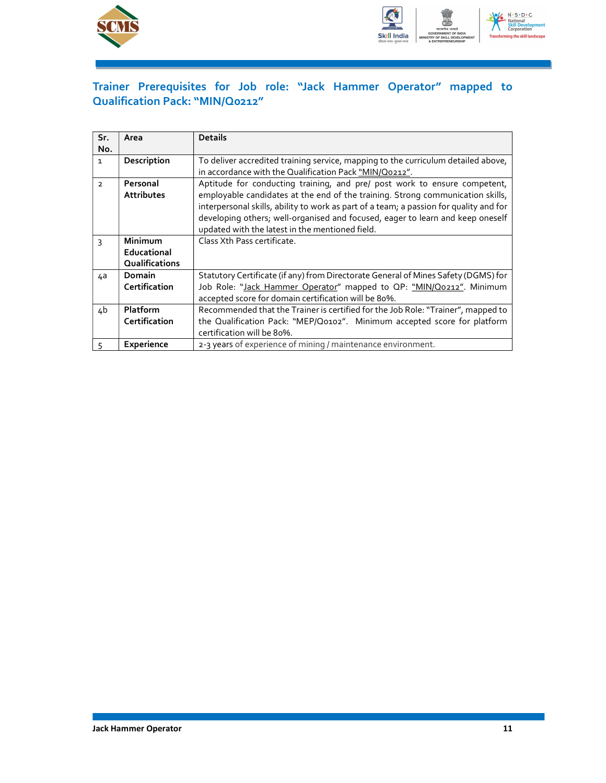



### Trainer Prerequisites for Job role: "Jack Hammer Operator" mapped to Qualification Pack: "MIN/Q0212"

| Sr.            | Area              | <b>Details</b>                                                                         |
|----------------|-------------------|----------------------------------------------------------------------------------------|
| No.            |                   |                                                                                        |
| $\mathbf{1}$   | Description       | To deliver accredited training service, mapping to the curriculum detailed above,      |
|                |                   | in accordance with the Qualification Pack "MIN/Q0212".                                 |
| $\overline{2}$ | Personal          | Aptitude for conducting training, and pre/ post work to ensure competent,              |
|                | <b>Attributes</b> | employable candidates at the end of the training. Strong communication skills,         |
|                |                   | interpersonal skills, ability to work as part of a team; a passion for quality and for |
|                |                   | developing others; well-organised and focused, eager to learn and keep oneself         |
|                |                   | updated with the latest in the mentioned field.                                        |
| 3              | <b>Minimum</b>    | Class Xth Pass certificate.                                                            |
|                | Educational       |                                                                                        |
|                | Qualifications    |                                                                                        |
| 4a             | Domain            | Statutory Certificate (if any) from Directorate General of Mines Safety (DGMS) for     |
|                | Certification     | Job Role: "Jack Hammer Operator" mapped to OP: "MIN/Q0212". Minimum                    |
|                |                   | accepted score for domain certification will be 80%.                                   |
| 4b             | <b>Platform</b>   | Recommended that the Trainer is certified for the Job Role: "Trainer", mapped to       |
|                | Certification     | the Qualification Pack: "MEP/Q0102". Minimum accepted score for platform               |
|                |                   | certification will be 80%.                                                             |
| 5              | Experience        | 2-3 years of experience of mining / maintenance environment.                           |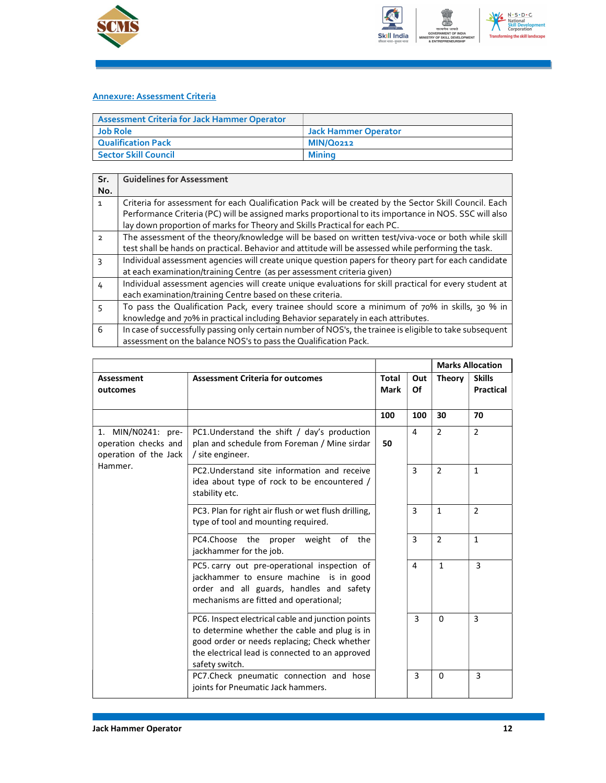



#### Annexure: Assessment Criteria

| <b>Assessment Criteria for Jack Hammer Operator</b> |                      |
|-----------------------------------------------------|----------------------|
| Job Role                                            | Jack Hammer Operator |
| Qualification Pack                                  | MIN/Q0212            |
| <b>Sector Skill Council</b>                         | Minina               |

| Sr.            | <b>Guidelines for Assessment</b>                                                                                                                                                                          |
|----------------|-----------------------------------------------------------------------------------------------------------------------------------------------------------------------------------------------------------|
| No.            |                                                                                                                                                                                                           |
| $\mathbf{1}$   | Criteria for assessment for each Qualification Pack will be created by the Sector Skill Council. Each                                                                                                     |
|                | Performance Criteria (PC) will be assigned marks proportional to its importance in NOS. SSC will also<br>lay down proportion of marks for Theory and Skills Practical for each PC.                        |
| $\overline{2}$ | The assessment of the theory/knowledge will be based on written test/viva-voce or both while skill<br>test shall be hands on practical. Behavior and attitude will be assessed while performing the task. |
| $\mathbf{R}$   | Individual assessment agencies will create unique question papers for theory part for each candidate                                                                                                      |
|                | at each examination/training Centre (as per assessment criteria given)                                                                                                                                    |
| 4              | Individual assessment agencies will create unique evaluations for skill practical for every student at                                                                                                    |
|                | each examination/training Centre based on these criteria.                                                                                                                                                 |
| 5              | To pass the Qualification Pack, every trainee should score a minimum of 70% in skills, 30 % in                                                                                                            |
|                | knowledge and 70% in practical including Behavior separately in each attributes.                                                                                                                          |
| 6              | In case of successfully passing only certain number of NOS's, the trainee is eligible to take subsequent                                                                                                  |
|                | assessment on the balance NOS's to pass the Qualification Pack.                                                                                                                                           |

|                                                                                |                                                                                                                                                                                                                         |                      |           | <b>Marks Allocation</b> |                            |
|--------------------------------------------------------------------------------|-------------------------------------------------------------------------------------------------------------------------------------------------------------------------------------------------------------------------|----------------------|-----------|-------------------------|----------------------------|
| Assessment<br>outcomes                                                         | <b>Assessment Criteria for outcomes</b>                                                                                                                                                                                 | <b>Total</b><br>Mark | Out<br>Of | <b>Theory</b>           | <b>Skills</b><br>Practical |
|                                                                                |                                                                                                                                                                                                                         | 100                  | 100       | 30                      | 70                         |
| 1. MIN/N0241: pre-<br>operation checks and<br>operation of the Jack<br>Hammer. | PC1. Understand the shift / day's production<br>plan and schedule from Foreman / Mine sirdar<br>/ site engineer.                                                                                                        | 50                   | 4         | $\overline{2}$          | $\overline{2}$             |
|                                                                                | PC2. Understand site information and receive<br>idea about type of rock to be encountered /<br>stability etc.                                                                                                           |                      | 3         | $\overline{2}$          | $\mathbf{1}$               |
|                                                                                | PC3. Plan for right air flush or wet flush drilling,<br>type of tool and mounting required.                                                                                                                             |                      | 3         | $\mathbf{1}$            | $\overline{2}$             |
|                                                                                | PC4.Choose the proper weight of the<br>jackhammer for the job.                                                                                                                                                          |                      | 3         | $\overline{2}$          | $\mathbf{1}$               |
|                                                                                | PC5. carry out pre-operational inspection of<br>jackhammer to ensure machine is in good<br>order and all guards, handles and safety<br>mechanisms are fitted and operational;                                           |                      | 4         | $\mathbf{1}$            | $\overline{3}$             |
|                                                                                | PC6. Inspect electrical cable and junction points<br>to determine whether the cable and plug is in<br>good order or needs replacing; Check whether<br>the electrical lead is connected to an approved<br>safety switch. |                      | 3         | 0                       | 3                          |
|                                                                                | PC7.Check pneumatic connection and hose<br>joints for Pneumatic Jack hammers.                                                                                                                                           |                      | 3         | 0                       | $\overline{3}$             |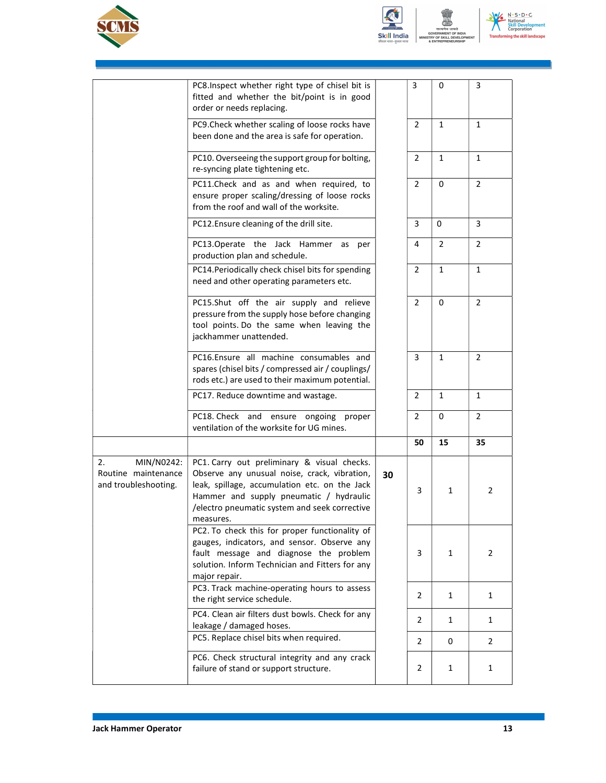





|                                                                 | PC8.Inspect whether right type of chisel bit is<br>fitted and whether the bit/point is in good<br>order or needs replacing.                                                                                                                           |    | 3              | 0              | 3              |  |
|-----------------------------------------------------------------|-------------------------------------------------------------------------------------------------------------------------------------------------------------------------------------------------------------------------------------------------------|----|----------------|----------------|----------------|--|
|                                                                 | PC9. Check whether scaling of loose rocks have<br>been done and the area is safe for operation.                                                                                                                                                       |    | $\overline{2}$ | $\mathbf{1}$   | $\mathbf{1}$   |  |
|                                                                 | PC10. Overseeing the support group for bolting,<br>re-syncing plate tightening etc.                                                                                                                                                                   |    | $\overline{2}$ | $\mathbf{1}$   | $\mathbf{1}$   |  |
|                                                                 | PC11.Check and as and when required, to<br>ensure proper scaling/dressing of loose rocks<br>from the roof and wall of the worksite.                                                                                                                   |    | $\overline{2}$ | $\mathbf 0$    | $\overline{2}$ |  |
|                                                                 | PC12. Ensure cleaning of the drill site.                                                                                                                                                                                                              |    | 3              | 0              | 3              |  |
|                                                                 | PC13.Operate the Jack Hammer as<br>per<br>production plan and schedule.                                                                                                                                                                               |    | 4              | $\overline{2}$ | $\overline{2}$ |  |
|                                                                 | PC14. Periodically check chisel bits for spending<br>need and other operating parameters etc.                                                                                                                                                         |    | $\overline{2}$ | $\mathbf{1}$   | $\mathbf{1}$   |  |
|                                                                 | PC15.Shut off the air supply and relieve<br>pressure from the supply hose before changing<br>tool points. Do the same when leaving the<br>jackhammer unattended.                                                                                      |    | $\overline{2}$ | $\mathbf 0$    | $\overline{2}$ |  |
|                                                                 | PC16.Ensure all machine consumables and<br>spares (chisel bits / compressed air / couplings/<br>rods etc.) are used to their maximum potential.                                                                                                       |    | 3              | $\mathbf{1}$   | $\overline{2}$ |  |
|                                                                 | PC17. Reduce downtime and wastage.                                                                                                                                                                                                                    |    | $\overline{2}$ | $\mathbf{1}$   | $\mathbf{1}$   |  |
|                                                                 | PC18. Check and ensure ongoing proper<br>ventilation of the worksite for UG mines.                                                                                                                                                                    |    | $\overline{2}$ | 0              | $\overline{2}$ |  |
|                                                                 |                                                                                                                                                                                                                                                       |    | 50             | 15             | 35             |  |
| MIN/N0242:<br>2.<br>Routine maintenance<br>and troubleshooting. | PC1. Carry out preliminary & visual checks.<br>Observe any unusual noise, crack, vibration,<br>leak, spillage, accumulation etc. on the Jack<br>Hammer and supply pneumatic / hydraulic<br>/electro pneumatic system and seek corrective<br>measures. | 30 | 3              | 1              | $\overline{2}$ |  |
|                                                                 | PC2. To check this for proper functionality of<br>gauges, indicators, and sensor. Observe any<br>fault message and diagnose the problem<br>solution. Inform Technician and Fitters for any<br>major repair.                                           |    | 3              | $\mathbf{1}$   | 2              |  |
|                                                                 | PC3. Track machine-operating hours to assess<br>the right service schedule.                                                                                                                                                                           |    | $\overline{2}$ | $\mathbf{1}$   | $\mathbf{1}$   |  |
|                                                                 | PC4. Clean air filters dust bowls. Check for any<br>leakage / damaged hoses.                                                                                                                                                                          |    | 2              | $\mathbf{1}$   | $\mathbf{1}$   |  |
|                                                                 | PC5. Replace chisel bits when required.                                                                                                                                                                                                               |    | $\overline{2}$ | 0              | $\overline{2}$ |  |
|                                                                 | PC6. Check structural integrity and any crack<br>failure of stand or support structure.                                                                                                                                                               |    | $\overline{2}$ | 1              | 1              |  |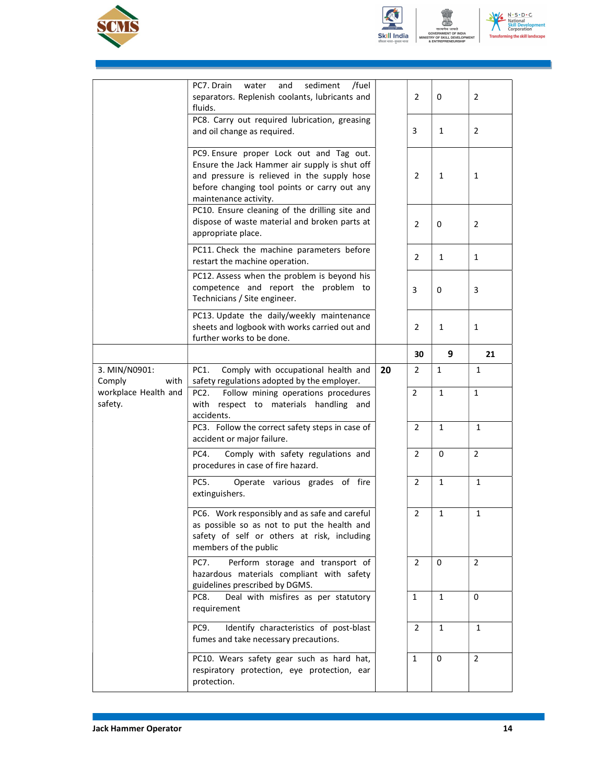





|                                 | sediment<br>/fuel<br>PC7. Drain<br>water<br>and<br>separators. Replenish coolants, lubricants and<br>fluids.                                                                                                      |    | $\overline{2}$ | 0            | 2              |
|---------------------------------|-------------------------------------------------------------------------------------------------------------------------------------------------------------------------------------------------------------------|----|----------------|--------------|----------------|
|                                 | PC8. Carry out required lubrication, greasing<br>and oil change as required.                                                                                                                                      |    | 3              | $\mathbf{1}$ | $\overline{2}$ |
|                                 | PC9. Ensure proper Lock out and Tag out.<br>Ensure the Jack Hammer air supply is shut off<br>and pressure is relieved in the supply hose<br>before changing tool points or carry out any<br>maintenance activity. |    | $\overline{2}$ | 1            | 1              |
|                                 | PC10. Ensure cleaning of the drilling site and<br>dispose of waste material and broken parts at<br>appropriate place.                                                                                             |    | $\overline{2}$ | 0            | $\overline{2}$ |
|                                 | PC11. Check the machine parameters before<br>restart the machine operation.                                                                                                                                       |    | $\overline{2}$ | $\mathbf{1}$ | 1              |
|                                 | PC12. Assess when the problem is beyond his<br>competence and report the problem to<br>Technicians / Site engineer.                                                                                               |    | 3              | 0            | 3              |
|                                 | PC13. Update the daily/weekly maintenance<br>sheets and logbook with works carried out and<br>further works to be done.                                                                                           |    | $\overline{2}$ | 1            | $\mathbf{1}$   |
|                                 |                                                                                                                                                                                                                   |    | 30             | 9            | 21             |
| 3. MIN/N0901:<br>Comply<br>with | PC1.<br>Comply with occupational health and<br>safety regulations adopted by the employer.                                                                                                                        | 20 | $\overline{2}$ | 1            | 1              |
| workplace Health and<br>safety. | Follow mining operations procedures<br>PC <sub>2</sub> .<br>with respect to materials handling and<br>accidents.                                                                                                  |    | $\overline{2}$ | $\mathbf{1}$ | $\mathbf{1}$   |
|                                 | PC3. Follow the correct safety steps in case of                                                                                                                                                                   |    | $\overline{2}$ | $\mathbf{1}$ | $\mathbf{1}$   |
|                                 | accident or major failure.                                                                                                                                                                                        |    |                |              |                |
|                                 | PC4.<br>Comply with safety regulations and<br>procedures in case of fire hazard.                                                                                                                                  |    | 2              | 0            | $\overline{2}$ |
|                                 | PC5.<br>Operate various grades of fire<br>extinguishers.                                                                                                                                                          |    | $\overline{2}$ | $\mathbf{1}$ | $\mathbf{1}$   |
|                                 | PC6. Work responsibly and as safe and careful<br>as possible so as not to put the health and<br>safety of self or others at risk, including<br>members of the public                                              |    | 2              | 1            | 1              |
|                                 | PC7.<br>Perform storage and transport of<br>hazardous materials compliant with safety<br>guidelines prescribed by DGMS.                                                                                           |    | $\overline{2}$ | 0            | $\overline{2}$ |
|                                 | Deal with misfires as per statutory<br>PC8.<br>requirement                                                                                                                                                        |    | 1              | 1            | 0              |
|                                 | Identify characteristics of post-blast<br>PC9.<br>fumes and take necessary precautions.                                                                                                                           |    | $\overline{2}$ | $\mathbf{1}$ | $\mathbf{1}$   |